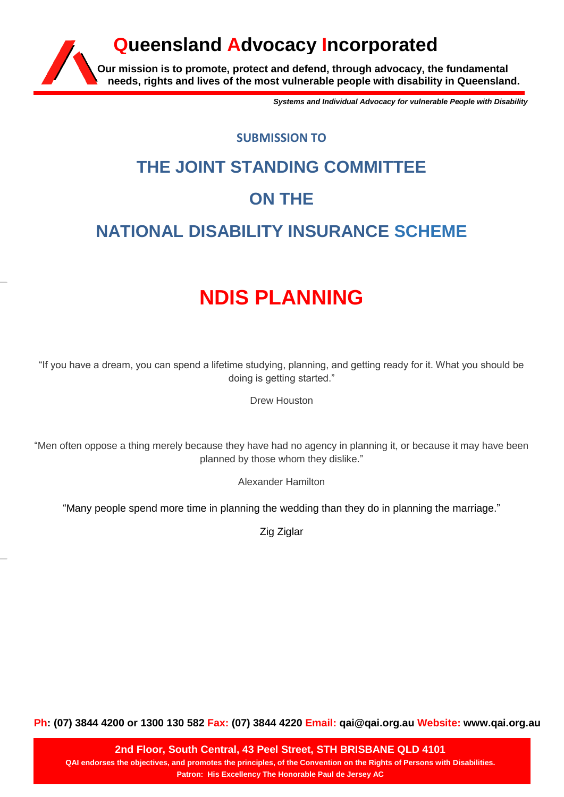### **Our mission is to promote, protect and defend, through advocacy, the fundamental needs, rights and lives of the most vulnerable people with disability in Queensland. Queensland Advocacy Incorporated**

*Systems and Individual Advocacy for vulnerable People with Disability*

#### **SUBMISSION TO**

# **THE JOINT STANDING COMMITTEE ON THE NATIONAL DISABILITY INSURANCE SCHEME**

## **NDIS PLANNING**

"If you have a dream, you can spend a lifetime studying, planning, and getting ready for it. What you should be doing is getting started."

Drew Houston

"Men often oppose a thing merely because they have had no agency in planning it, or because it may have been planned by those whom they dislike."

Alexander Hamilton

"Many people spend more time in planning the wedding than they do in planning the marriage."

Zig Ziglar

**Ph: (07) 3844 4200 or 1300 130 582 Fax: (07) 3844 4220 Email: qai@qai.org.au Website: www.qai.org.au**

**2nd Floor, South Central, 43 Peel Street, STH BRISBANE QLD 4101 QAI endorses the objectives, and promotes the principles, of the Convention on the Rights of Persons with Disabilities. Patron: His Excellency The Honorable Paul de Jersey AC**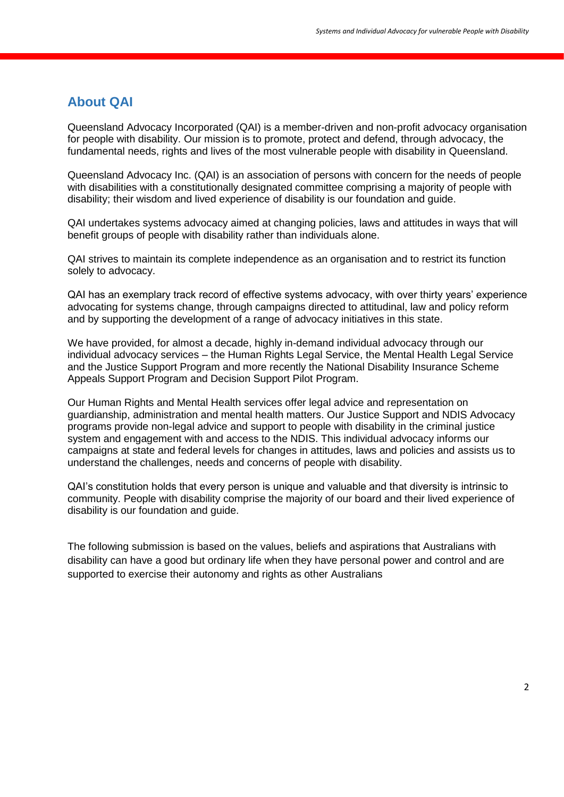#### **About QAI**

Queensland Advocacy Incorporated (QAI) is a member-driven and non-profit advocacy organisation for people with disability. Our mission is to promote, protect and defend, through advocacy, the fundamental needs, rights and lives of the most vulnerable people with disability in Queensland.

Queensland Advocacy Inc. (QAI) is an association of persons with concern for the needs of people with disabilities with a constitutionally designated committee comprising a majority of people with disability; their wisdom and lived experience of disability is our foundation and guide.

QAI undertakes systems advocacy aimed at changing policies, laws and attitudes in ways that will benefit groups of people with disability rather than individuals alone.

QAI strives to maintain its complete independence as an organisation and to restrict its function solely to advocacy.

QAI has an exemplary track record of effective systems advocacy, with over thirty years' experience advocating for systems change, through campaigns directed to attitudinal, law and policy reform and by supporting the development of a range of advocacy initiatives in this state.

We have provided, for almost a decade, highly in-demand individual advocacy through our individual advocacy services – the Human Rights Legal Service, the Mental Health Legal Service and the Justice Support Program and more recently the National Disability Insurance Scheme Appeals Support Program and Decision Support Pilot Program.

Our Human Rights and Mental Health services offer legal advice and representation on guardianship, administration and mental health matters. Our Justice Support and NDIS Advocacy programs provide non-legal advice and support to people with disability in the criminal justice system and engagement with and access to the NDIS. This individual advocacy informs our campaigns at state and federal levels for changes in attitudes, laws and policies and assists us to understand the challenges, needs and concerns of people with disability.

QAI's constitution holds that every person is unique and valuable and that diversity is intrinsic to community. People with disability comprise the majority of our board and their lived experience of disability is our foundation and guide.

The following submission is based on the values, beliefs and aspirations that Australians with disability can have a good but ordinary life when they have personal power and control and are supported to exercise their autonomy and rights as other Australians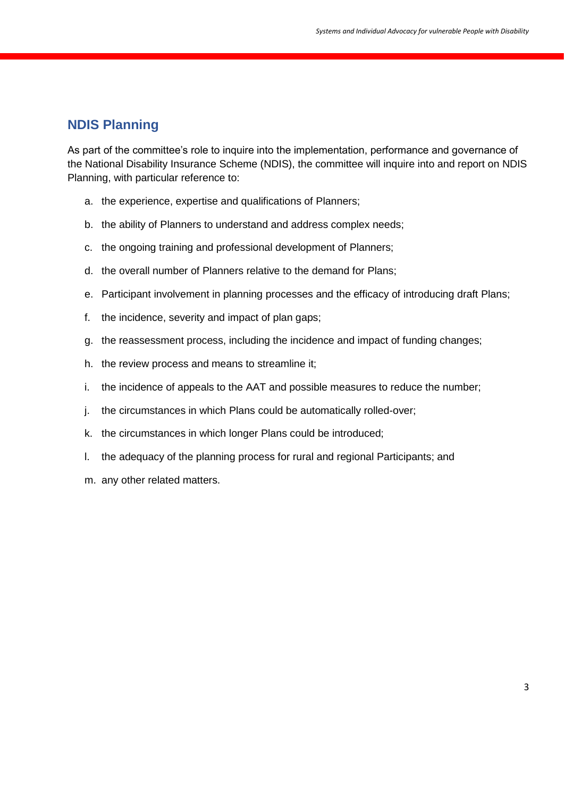#### **NDIS Planning**

As part of the committee's role to inquire into the implementation, performance and governance of the National Disability Insurance Scheme (NDIS), the committee will inquire into and report on NDIS Planning, with particular reference to:

- a. the experience, expertise and qualifications of Planners;
- b. the ability of Planners to understand and address complex needs;
- c. the ongoing training and professional development of Planners;
- d. the overall number of Planners relative to the demand for Plans;
- e. Participant involvement in planning processes and the efficacy of introducing draft Plans;
- f. the incidence, severity and impact of plan gaps;
- g. the reassessment process, including the incidence and impact of funding changes;
- h. the review process and means to streamline it;
- i. the incidence of appeals to the AAT and possible measures to reduce the number;
- j. the circumstances in which Plans could be automatically rolled-over;
- k. the circumstances in which longer Plans could be introduced;
- l. the adequacy of the planning process for rural and regional Participants; and
- m. any other related matters.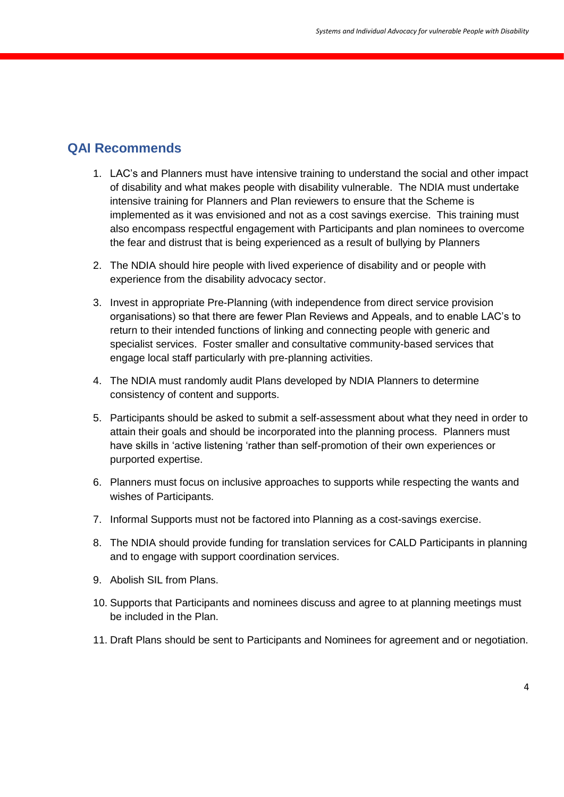#### **QAI Recommends**

- 1. LAC's and Planners must have intensive training to understand the social and other impact of disability and what makes people with disability vulnerable. The NDIA must undertake intensive training for Planners and Plan reviewers to ensure that the Scheme is implemented as it was envisioned and not as a cost savings exercise. This training must also encompass respectful engagement with Participants and plan nominees to overcome the fear and distrust that is being experienced as a result of bullying by Planners
- 2. The NDIA should hire people with lived experience of disability and or people with experience from the disability advocacy sector.
- 3. Invest in appropriate Pre-Planning (with independence from direct service provision organisations) so that there are fewer Plan Reviews and Appeals, and to enable LAC's to return to their intended functions of linking and connecting people with generic and specialist services. Foster smaller and consultative community-based services that engage local staff particularly with pre-planning activities.
- 4. The NDIA must randomly audit Plans developed by NDIA Planners to determine consistency of content and supports.
- 5. Participants should be asked to submit a self-assessment about what they need in order to attain their goals and should be incorporated into the planning process. Planners must have skills in 'active listening 'rather than self-promotion of their own experiences or purported expertise.
- 6. Planners must focus on inclusive approaches to supports while respecting the wants and wishes of Participants.
- 7. Informal Supports must not be factored into Planning as a cost-savings exercise.
- 8. The NDIA should provide funding for translation services for CALD Participants in planning and to engage with support coordination services.
- 9. Abolish SIL from Plans.
- 10. Supports that Participants and nominees discuss and agree to at planning meetings must be included in the Plan.
- 11. Draft Plans should be sent to Participants and Nominees for agreement and or negotiation.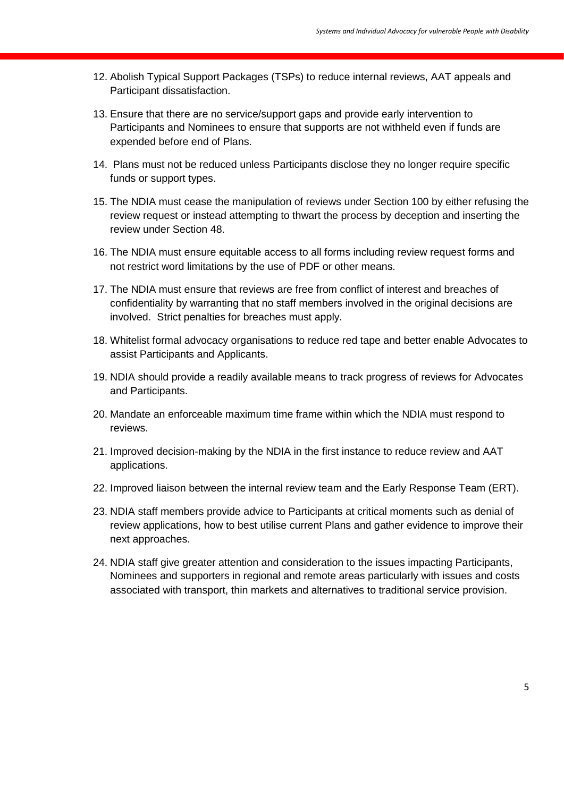- 12. Abolish Typical Support Packages (TSPs) to reduce internal reviews, AAT appeals and Participant dissatisfaction.
- 13. Ensure that there are no service/support gaps and provide early intervention to Participants and Nominees to ensure that supports are not withheld even if funds are expended before end of Plans.
- 14. Plans must not be reduced unless Participants disclose they no longer require specific funds or support types.
- 15. The NDIA must cease the manipulation of reviews under Section 100 by either refusing the review request or instead attempting to thwart the process by deception and inserting the review under Section 48.
- 16. The NDIA must ensure equitable access to all forms including review request forms and not restrict word limitations by the use of PDF or other means.
- 17. The NDIA must ensure that reviews are free from conflict of interest and breaches of confidentiality by warranting that no staff members involved in the original decisions are involved. Strict penalties for breaches must apply.
- 18. Whitelist formal advocacy organisations to reduce red tape and better enable Advocates to assist Participants and Applicants.
- 19. NDIA should provide a readily available means to track progress of reviews for Advocates and Participants.
- 20. Mandate an enforceable maximum time frame within which the NDIA must respond to reviews.
- 21. Improved decision-making by the NDIA in the first instance to reduce review and AAT applications.
- 22. Improved liaison between the internal review team and the Early Response Team (ERT).
- 23. NDIA staff members provide advice to Participants at critical moments such as denial of review applications, how to best utilise current Plans and gather evidence to improve their next approaches.
- 24. NDIA staff give greater attention and consideration to the issues impacting Participants, Nominees and supporters in regional and remote areas particularly with issues and costs associated with transport, thin markets and alternatives to traditional service provision.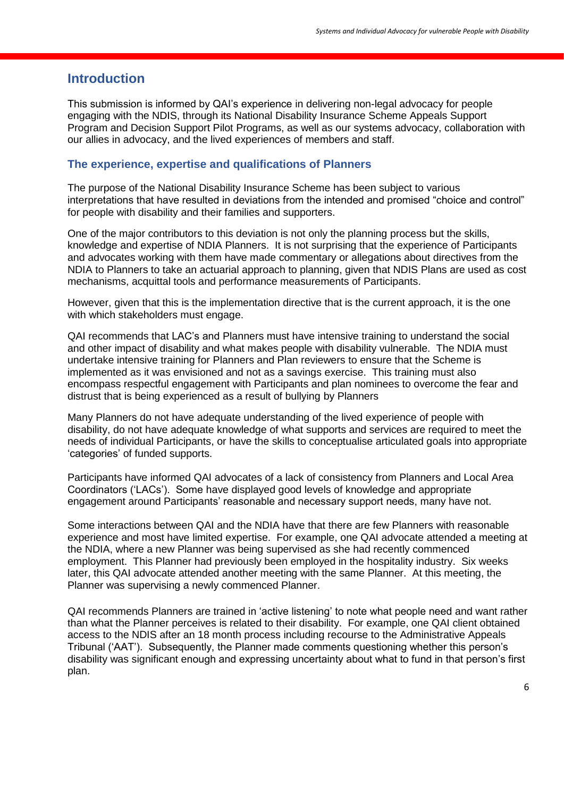#### **Introduction**

This submission is informed by QAI's experience in delivering non-legal advocacy for people engaging with the NDIS, through its National Disability Insurance Scheme Appeals Support Program and Decision Support Pilot Programs, as well as our systems advocacy, collaboration with our allies in advocacy, and the lived experiences of members and staff.

#### **The experience, expertise and qualifications of Planners**

The purpose of the National Disability Insurance Scheme has been subject to various interpretations that have resulted in deviations from the intended and promised "choice and control" for people with disability and their families and supporters.

One of the major contributors to this deviation is not only the planning process but the skills, knowledge and expertise of NDIA Planners. It is not surprising that the experience of Participants and advocates working with them have made commentary or allegations about directives from the NDIA to Planners to take an actuarial approach to planning, given that NDIS Plans are used as cost mechanisms, acquittal tools and performance measurements of Participants.

However, given that this is the implementation directive that is the current approach, it is the one with which stakeholders must engage.

QAI recommends that LAC's and Planners must have intensive training to understand the social and other impact of disability and what makes people with disability vulnerable. The NDIA must undertake intensive training for Planners and Plan reviewers to ensure that the Scheme is implemented as it was envisioned and not as a savings exercise. This training must also encompass respectful engagement with Participants and plan nominees to overcome the fear and distrust that is being experienced as a result of bullying by Planners

Many Planners do not have adequate understanding of the lived experience of people with disability, do not have adequate knowledge of what supports and services are required to meet the needs of individual Participants, or have the skills to conceptualise articulated goals into appropriate 'categories' of funded supports.

Participants have informed QAI advocates of a lack of consistency from Planners and Local Area Coordinators ('LACs'). Some have displayed good levels of knowledge and appropriate engagement around Participants' reasonable and necessary support needs, many have not.

Some interactions between QAI and the NDIA have that there are few Planners with reasonable experience and most have limited expertise. For example, one QAI advocate attended a meeting at the NDIA, where a new Planner was being supervised as she had recently commenced employment. This Planner had previously been employed in the hospitality industry. Six weeks later, this QAI advocate attended another meeting with the same Planner. At this meeting, the Planner was supervising a newly commenced Planner.

QAI recommends Planners are trained in 'active listening' to note what people need and want rather than what the Planner perceives is related to their disability. For example, one QAI client obtained access to the NDIS after an 18 month process including recourse to the Administrative Appeals Tribunal ('AAT'). Subsequently, the Planner made comments questioning whether this person's disability was significant enough and expressing uncertainty about what to fund in that person's first plan.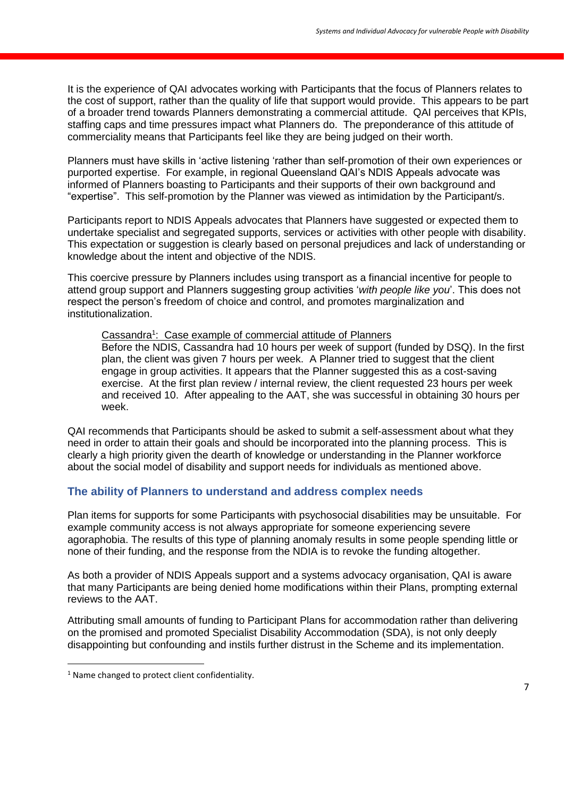It is the experience of QAI advocates working with Participants that the focus of Planners relates to the cost of support, rather than the quality of life that support would provide. This appears to be part of a broader trend towards Planners demonstrating a commercial attitude. QAI perceives that KPIs, staffing caps and time pressures impact what Planners do. The preponderance of this attitude of commerciality means that Participants feel like they are being judged on their worth.

Planners must have skills in 'active listening 'rather than self-promotion of their own experiences or purported expertise. For example, in regional Queensland QAI's NDIS Appeals advocate was informed of Planners boasting to Participants and their supports of their own background and "expertise". This self-promotion by the Planner was viewed as intimidation by the Participant/s.

Participants report to NDIS Appeals advocates that Planners have suggested or expected them to undertake specialist and segregated supports, services or activities with other people with disability. This expectation or suggestion is clearly based on personal prejudices and lack of understanding or knowledge about the intent and objective of the NDIS.

This coercive pressure by Planners includes using transport as a financial incentive for people to attend group support and Planners suggesting group activities '*with people like you*'. This does not respect the person's freedom of choice and control, and promotes marginalization and institutionalization.

#### Cassandra<sup>1</sup>: Case example of commercial attitude of Planners

Before the NDIS, Cassandra had 10 hours per week of support (funded by DSQ). In the first plan, the client was given 7 hours per week. A Planner tried to suggest that the client engage in group activities. It appears that the Planner suggested this as a cost-saving exercise. At the first plan review / internal review, the client requested 23 hours per week and received 10. After appealing to the AAT, she was successful in obtaining 30 hours per week.

QAI recommends that Participants should be asked to submit a self-assessment about what they need in order to attain their goals and should be incorporated into the planning process. This is clearly a high priority given the dearth of knowledge or understanding in the Planner workforce about the social model of disability and support needs for individuals as mentioned above.

#### **The ability of Planners to understand and address complex needs**

Plan items for supports for some Participants with psychosocial disabilities may be unsuitable. For example community access is not always appropriate for someone experiencing severe agoraphobia. The results of this type of planning anomaly results in some people spending little or none of their funding, and the response from the NDIA is to revoke the funding altogether.

As both a provider of NDIS Appeals support and a systems advocacy organisation, QAI is aware that many Participants are being denied home modifications within their Plans, prompting external reviews to the AAT.

Attributing small amounts of funding to Participant Plans for accommodation rather than delivering on the promised and promoted Specialist Disability Accommodation (SDA), is not only deeply disappointing but confounding and instils further distrust in the Scheme and its implementation.

1

<sup>&</sup>lt;sup>1</sup> Name changed to protect client confidentiality.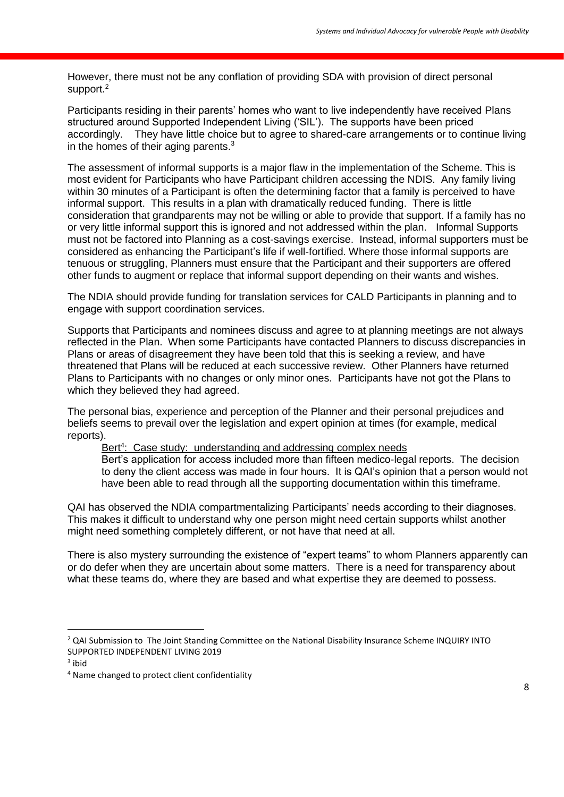However, there must not be any conflation of providing SDA with provision of direct personal support.<sup>2</sup>

Participants residing in their parents' homes who want to live independently have received Plans structured around Supported Independent Living ('SIL'). The supports have been priced accordingly. They have little choice but to agree to shared-care arrangements or to continue living in the homes of their aging parents. $3$ 

The assessment of informal supports is a major flaw in the implementation of the Scheme. This is most evident for Participants who have Participant children accessing the NDIS. Any family living within 30 minutes of a Participant is often the determining factor that a family is perceived to have informal support. This results in a plan with dramatically reduced funding. There is little consideration that grandparents may not be willing or able to provide that support. If a family has no or very little informal support this is ignored and not addressed within the plan. Informal Supports must not be factored into Planning as a cost-savings exercise. Instead, informal supporters must be considered as enhancing the Participant's life if well-fortified. Where those informal supports are tenuous or struggling, Planners must ensure that the Participant and their supporters are offered other funds to augment or replace that informal support depending on their wants and wishes.

The NDIA should provide funding for translation services for CALD Participants in planning and to engage with support coordination services.

Supports that Participants and nominees discuss and agree to at planning meetings are not always reflected in the Plan. When some Participants have contacted Planners to discuss discrepancies in Plans or areas of disagreement they have been told that this is seeking a review, and have threatened that Plans will be reduced at each successive review. Other Planners have returned Plans to Participants with no changes or only minor ones. Participants have not got the Plans to which they believed they had agreed.

The personal bias, experience and perception of the Planner and their personal prejudices and beliefs seems to prevail over the legislation and expert opinion at times (for example, medical reports).

Bert<sup>4</sup>: Case study: understanding and addressing complex needs Bert's application for access included more than fifteen medico-legal reports. The decision to deny the client access was made in four hours. It is QAI's opinion that a person would not have been able to read through all the supporting documentation within this timeframe.

QAI has observed the NDIA compartmentalizing Participants' needs according to their diagnoses. This makes it difficult to understand why one person might need certain supports whilst another might need something completely different, or not have that need at all.

There is also mystery surrounding the existence of "expert teams" to whom Planners apparently can or do defer when they are uncertain about some matters. There is a need for transparency about what these teams do, where they are based and what expertise they are deemed to possess.

**.** 

<sup>&</sup>lt;sup>2</sup> QAI Submission to The Joint Standing Committee on the National Disability Insurance Scheme INQUIRY INTO SUPPORTED INDEPENDENT LIVING 2019

<sup>&</sup>lt;sup>3</sup> ibid

<sup>4</sup> Name changed to protect client confidentiality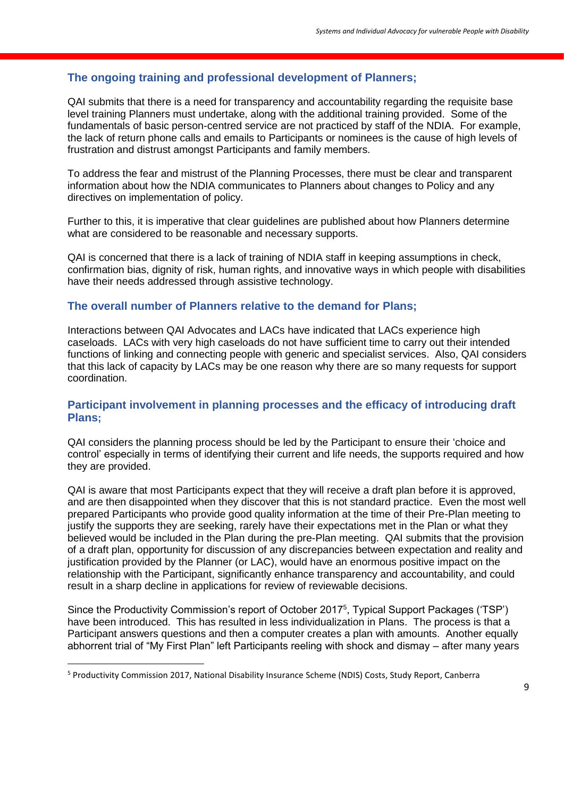#### **The ongoing training and professional development of Planners;**

QAI submits that there is a need for transparency and accountability regarding the requisite base level training Planners must undertake, along with the additional training provided. Some of the fundamentals of basic person-centred service are not practiced by staff of the NDIA. For example, the lack of return phone calls and emails to Participants or nominees is the cause of high levels of frustration and distrust amongst Participants and family members.

To address the fear and mistrust of the Planning Processes, there must be clear and transparent information about how the NDIA communicates to Planners about changes to Policy and any directives on implementation of policy.

Further to this, it is imperative that clear guidelines are published about how Planners determine what are considered to be reasonable and necessary supports.

QAI is concerned that there is a lack of training of NDIA staff in keeping assumptions in check, confirmation bias, dignity of risk, human rights, and innovative ways in which people with disabilities have their needs addressed through assistive technology.

#### **The overall number of Planners relative to the demand for Plans;**

Interactions between QAI Advocates and LACs have indicated that LACs experience high caseloads. LACs with very high caseloads do not have sufficient time to carry out their intended functions of linking and connecting people with generic and specialist services. Also, QAI considers that this lack of capacity by LACs may be one reason why there are so many requests for support coordination.

#### **Participant involvement in planning processes and the efficacy of introducing draft Plans;**

QAI considers the planning process should be led by the Participant to ensure their 'choice and control' especially in terms of identifying their current and life needs, the supports required and how they are provided.

QAI is aware that most Participants expect that they will receive a draft plan before it is approved, and are then disappointed when they discover that this is not standard practice. Even the most well prepared Participants who provide good quality information at the time of their Pre-Plan meeting to justify the supports they are seeking, rarely have their expectations met in the Plan or what they believed would be included in the Plan during the pre-Plan meeting. QAI submits that the provision of a draft plan, opportunity for discussion of any discrepancies between expectation and reality and justification provided by the Planner (or LAC), would have an enormous positive impact on the relationship with the Participant, significantly enhance transparency and accountability, and could result in a sharp decline in applications for review of reviewable decisions.

Since the Productivity Commission's report of October 2017<sup>5</sup>, Typical Support Packages ('TSP') have been introduced. This has resulted in less individualization in Plans. The process is that a Participant answers questions and then a computer creates a plan with amounts. Another equally abhorrent trial of "My First Plan" left Participants reeling with shock and dismay – after many years

1

<sup>5</sup> Productivity Commission 2017, National Disability Insurance Scheme (NDIS) Costs, Study Report, Canberra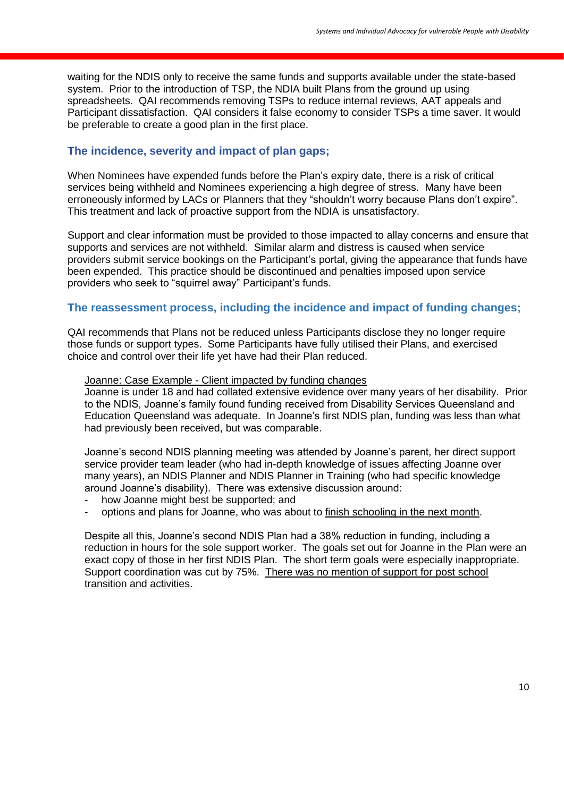waiting for the NDIS only to receive the same funds and supports available under the state-based system. Prior to the introduction of TSP, the NDIA built Plans from the ground up using spreadsheets. QAI recommends removing TSPs to reduce internal reviews, AAT appeals and Participant dissatisfaction. QAI considers it false economy to consider TSPs a time saver. It would be preferable to create a good plan in the first place.

#### **The incidence, severity and impact of plan gaps;**

When Nominees have expended funds before the Plan's expiry date, there is a risk of critical services being withheld and Nominees experiencing a high degree of stress. Many have been erroneously informed by LACs or Planners that they "shouldn't worry because Plans don't expire". This treatment and lack of proactive support from the NDIA is unsatisfactory.

Support and clear information must be provided to those impacted to allay concerns and ensure that supports and services are not withheld. Similar alarm and distress is caused when service providers submit service bookings on the Participant's portal, giving the appearance that funds have been expended. This practice should be discontinued and penalties imposed upon service providers who seek to "squirrel away" Participant's funds.

#### **The reassessment process, including the incidence and impact of funding changes;**

QAI recommends that Plans not be reduced unless Participants disclose they no longer require those funds or support types. Some Participants have fully utilised their Plans, and exercised choice and control over their life yet have had their Plan reduced.

#### Joanne: Case Example - Client impacted by funding changes

Joanne is under 18 and had collated extensive evidence over many years of her disability. Prior to the NDIS, Joanne's family found funding received from Disability Services Queensland and Education Queensland was adequate. In Joanne's first NDIS plan, funding was less than what had previously been received, but was comparable.

Joanne's second NDIS planning meeting was attended by Joanne's parent, her direct support service provider team leader (who had in-depth knowledge of issues affecting Joanne over many years), an NDIS Planner and NDIS Planner in Training (who had specific knowledge around Joanne's disability). There was extensive discussion around:

- how Joanne might best be supported; and
- options and plans for Joanne, who was about to finish schooling in the next month.

Despite all this, Joanne's second NDIS Plan had a 38% reduction in funding, including a reduction in hours for the sole support worker. The goals set out for Joanne in the Plan were an exact copy of those in her first NDIS Plan. The short term goals were especially inappropriate. Support coordination was cut by 75%. There was no mention of support for post school transition and activities.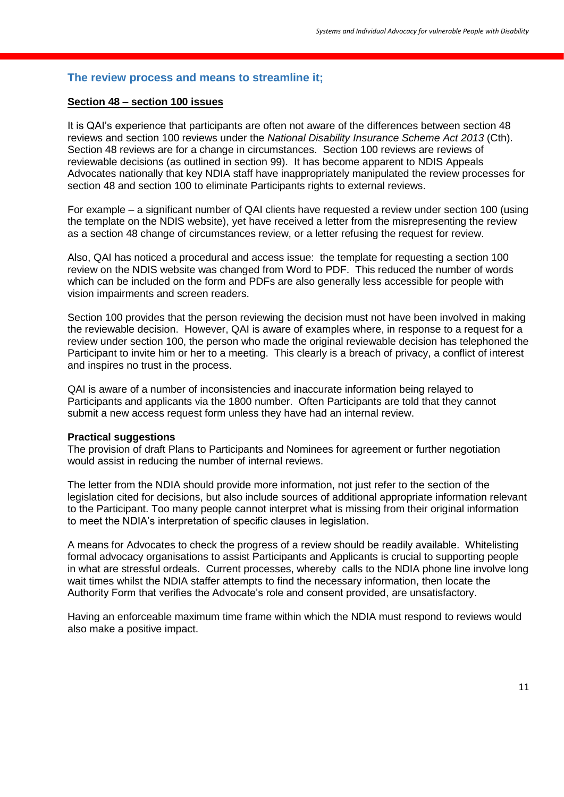#### **The review process and means to streamline it;**

#### **Section 48 – section 100 issues**

It is QAI's experience that participants are often not aware of the differences between section 48 reviews and section 100 reviews under the *National Disability Insurance Scheme Act 2013* (Cth). Section 48 reviews are for a change in circumstances. Section 100 reviews are reviews of reviewable decisions (as outlined in section 99). It has become apparent to NDIS Appeals Advocates nationally that key NDIA staff have inappropriately manipulated the review processes for section 48 and section 100 to eliminate Participants rights to external reviews.

For example – a significant number of QAI clients have requested a review under section 100 (using the template on the NDIS website), yet have received a letter from the misrepresenting the review as a section 48 change of circumstances review, or a letter refusing the request for review.

Also, QAI has noticed a procedural and access issue: the template for requesting a section 100 review on the NDIS website was changed from Word to PDF. This reduced the number of words which can be included on the form and PDFs are also generally less accessible for people with vision impairments and screen readers.

Section 100 provides that the person reviewing the decision must not have been involved in making the reviewable decision. However, QAI is aware of examples where, in response to a request for a review under section 100, the person who made the original reviewable decision has telephoned the Participant to invite him or her to a meeting. This clearly is a breach of privacy, a conflict of interest and inspires no trust in the process.

QAI is aware of a number of inconsistencies and inaccurate information being relayed to Participants and applicants via the 1800 number. Often Participants are told that they cannot submit a new access request form unless they have had an internal review.

#### **Practical suggestions**

The provision of draft Plans to Participants and Nominees for agreement or further negotiation would assist in reducing the number of internal reviews.

The letter from the NDIA should provide more information, not just refer to the section of the legislation cited for decisions, but also include sources of additional appropriate information relevant to the Participant. Too many people cannot interpret what is missing from their original information to meet the NDIA's interpretation of specific clauses in legislation.

A means for Advocates to check the progress of a review should be readily available. Whitelisting formal advocacy organisations to assist Participants and Applicants is crucial to supporting people in what are stressful ordeals. Current processes, whereby calls to the NDIA phone line involve long wait times whilst the NDIA staffer attempts to find the necessary information, then locate the Authority Form that verifies the Advocate's role and consent provided, are unsatisfactory.

Having an enforceable maximum time frame within which the NDIA must respond to reviews would also make a positive impact.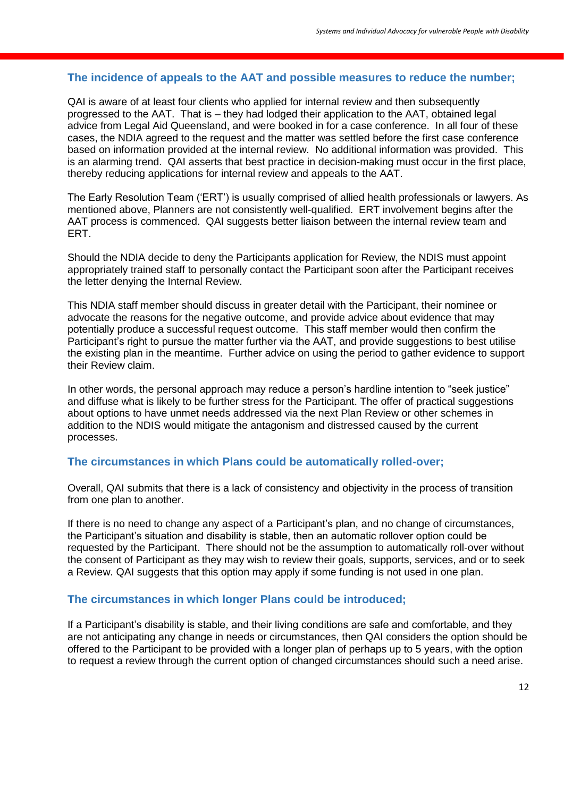#### **The incidence of appeals to the AAT and possible measures to reduce the number;**

QAI is aware of at least four clients who applied for internal review and then subsequently progressed to the AAT. That is – they had lodged their application to the AAT, obtained legal advice from Legal Aid Queensland, and were booked in for a case conference. In all four of these cases, the NDIA agreed to the request and the matter was settled before the first case conference based on information provided at the internal review. No additional information was provided. This is an alarming trend. QAI asserts that best practice in decision-making must occur in the first place, thereby reducing applications for internal review and appeals to the AAT.

The Early Resolution Team ('ERT') is usually comprised of allied health professionals or lawyers. As mentioned above, Planners are not consistently well-qualified. ERT involvement begins after the AAT process is commenced. QAI suggests better liaison between the internal review team and ERT.

Should the NDIA decide to deny the Participants application for Review, the NDIS must appoint appropriately trained staff to personally contact the Participant soon after the Participant receives the letter denying the Internal Review.

This NDIA staff member should discuss in greater detail with the Participant, their nominee or advocate the reasons for the negative outcome, and provide advice about evidence that may potentially produce a successful request outcome. This staff member would then confirm the Participant's right to pursue the matter further via the AAT, and provide suggestions to best utilise the existing plan in the meantime. Further advice on using the period to gather evidence to support their Review claim.

In other words, the personal approach may reduce a person's hardline intention to "seek justice" and diffuse what is likely to be further stress for the Participant. The offer of practical suggestions about options to have unmet needs addressed via the next Plan Review or other schemes in addition to the NDIS would mitigate the antagonism and distressed caused by the current processes.

#### **The circumstances in which Plans could be automatically rolled-over;**

Overall, QAI submits that there is a lack of consistency and objectivity in the process of transition from one plan to another.

If there is no need to change any aspect of a Participant's plan, and no change of circumstances, the Participant's situation and disability is stable, then an automatic rollover option could be requested by the Participant. There should not be the assumption to automatically roll-over without the consent of Participant as they may wish to review their goals, supports, services, and or to seek a Review. QAI suggests that this option may apply if some funding is not used in one plan.

#### **The circumstances in which longer Plans could be introduced;**

If a Participant's disability is stable, and their living conditions are safe and comfortable, and they are not anticipating any change in needs or circumstances, then QAI considers the option should be offered to the Participant to be provided with a longer plan of perhaps up to 5 years, with the option to request a review through the current option of changed circumstances should such a need arise.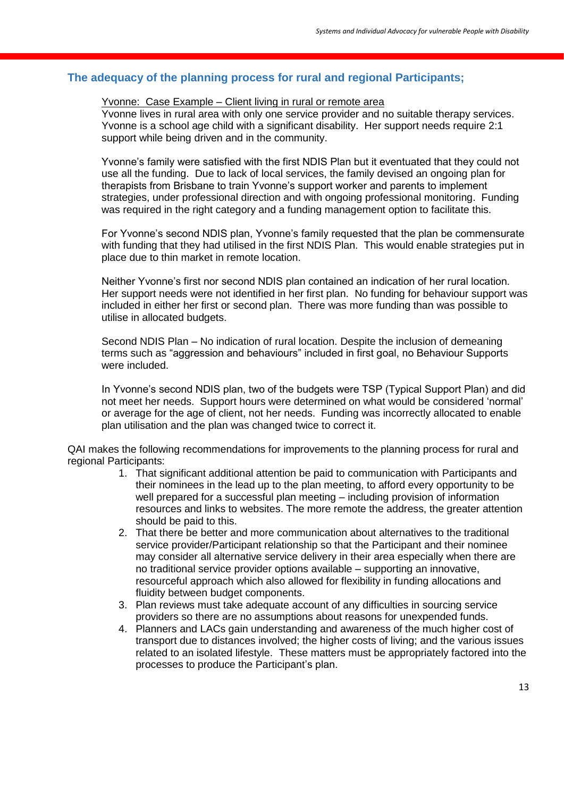#### **The adequacy of the planning process for rural and regional Participants;**

#### Yvonne: Case Example – Client living in rural or remote area

Yvonne lives in rural area with only one service provider and no suitable therapy services. Yvonne is a school age child with a significant disability. Her support needs require 2:1 support while being driven and in the community.

Yvonne's family were satisfied with the first NDIS Plan but it eventuated that they could not use all the funding. Due to lack of local services, the family devised an ongoing plan for therapists from Brisbane to train Yvonne's support worker and parents to implement strategies, under professional direction and with ongoing professional monitoring. Funding was required in the right category and a funding management option to facilitate this.

For Yvonne's second NDIS plan, Yvonne's family requested that the plan be commensurate with funding that they had utilised in the first NDIS Plan. This would enable strategies put in place due to thin market in remote location.

Neither Yvonne's first nor second NDIS plan contained an indication of her rural location. Her support needs were not identified in her first plan. No funding for behaviour support was included in either her first or second plan. There was more funding than was possible to utilise in allocated budgets.

Second NDIS Plan – No indication of rural location. Despite the inclusion of demeaning terms such as "aggression and behaviours" included in first goal, no Behaviour Supports were included.

In Yvonne's second NDIS plan, two of the budgets were TSP (Typical Support Plan) and did not meet her needs. Support hours were determined on what would be considered 'normal' or average for the age of client, not her needs. Funding was incorrectly allocated to enable plan utilisation and the plan was changed twice to correct it.

QAI makes the following recommendations for improvements to the planning process for rural and regional Participants:

- 1. That significant additional attention be paid to communication with Participants and their nominees in the lead up to the plan meeting, to afford every opportunity to be well prepared for a successful plan meeting – including provision of information resources and links to websites. The more remote the address, the greater attention should be paid to this.
- 2. That there be better and more communication about alternatives to the traditional service provider/Participant relationship so that the Participant and their nominee may consider all alternative service delivery in their area especially when there are no traditional service provider options available – supporting an innovative, resourceful approach which also allowed for flexibility in funding allocations and fluidity between budget components.
- 3. Plan reviews must take adequate account of any difficulties in sourcing service providers so there are no assumptions about reasons for unexpended funds.
- 4. Planners and LACs gain understanding and awareness of the much higher cost of transport due to distances involved; the higher costs of living; and the various issues related to an isolated lifestyle. These matters must be appropriately factored into the processes to produce the Participant's plan.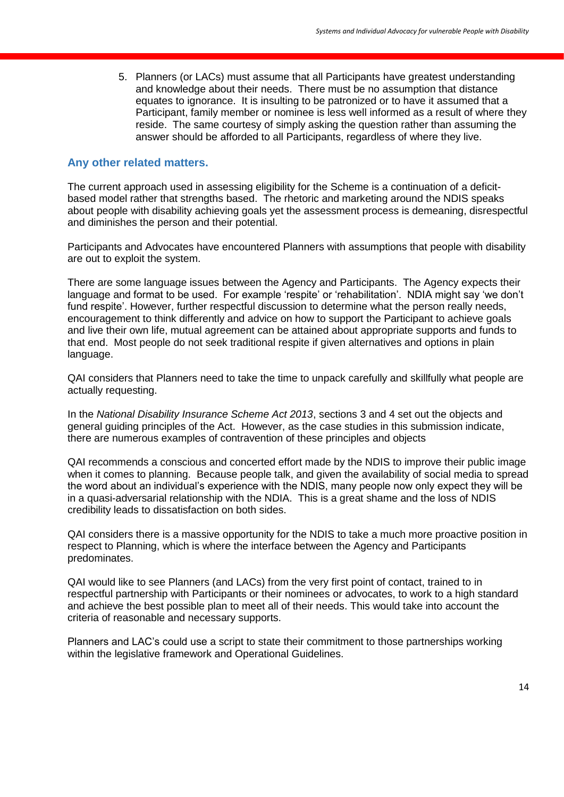5. Planners (or LACs) must assume that all Participants have greatest understanding and knowledge about their needs. There must be no assumption that distance equates to ignorance. It is insulting to be patronized or to have it assumed that a Participant, family member or nominee is less well informed as a result of where they reside. The same courtesy of simply asking the question rather than assuming the answer should be afforded to all Participants, regardless of where they live.

#### **Any other related matters.**

The current approach used in assessing eligibility for the Scheme is a continuation of a deficitbased model rather that strengths based. The rhetoric and marketing around the NDIS speaks about people with disability achieving goals yet the assessment process is demeaning, disrespectful and diminishes the person and their potential.

Participants and Advocates have encountered Planners with assumptions that people with disability are out to exploit the system.

There are some language issues between the Agency and Participants. The Agency expects their language and format to be used. For example 'respite' or 'rehabilitation'. NDIA might say 'we don't fund respite'. However, further respectful discussion to determine what the person really needs, encouragement to think differently and advice on how to support the Participant to achieve goals and live their own life, mutual agreement can be attained about appropriate supports and funds to that end. Most people do not seek traditional respite if given alternatives and options in plain language.

QAI considers that Planners need to take the time to unpack carefully and skillfully what people are actually requesting.

In the *National Disability Insurance Scheme Act 2013*, sections 3 and 4 set out the objects and general guiding principles of the Act. However, as the case studies in this submission indicate, there are numerous examples of contravention of these principles and objects

QAI recommends a conscious and concerted effort made by the NDIS to improve their public image when it comes to planning. Because people talk, and given the availability of social media to spread the word about an individual's experience with the NDIS, many people now only expect they will be in a quasi-adversarial relationship with the NDIA. This is a great shame and the loss of NDIS credibility leads to dissatisfaction on both sides.

QAI considers there is a massive opportunity for the NDIS to take a much more proactive position in respect to Planning, which is where the interface between the Agency and Participants predominates.

QAI would like to see Planners (and LACs) from the very first point of contact, trained to in respectful partnership with Participants or their nominees or advocates, to work to a high standard and achieve the best possible plan to meet all of their needs. This would take into account the criteria of reasonable and necessary supports.

Planners and LAC's could use a script to state their commitment to those partnerships working within the legislative framework and Operational Guidelines.